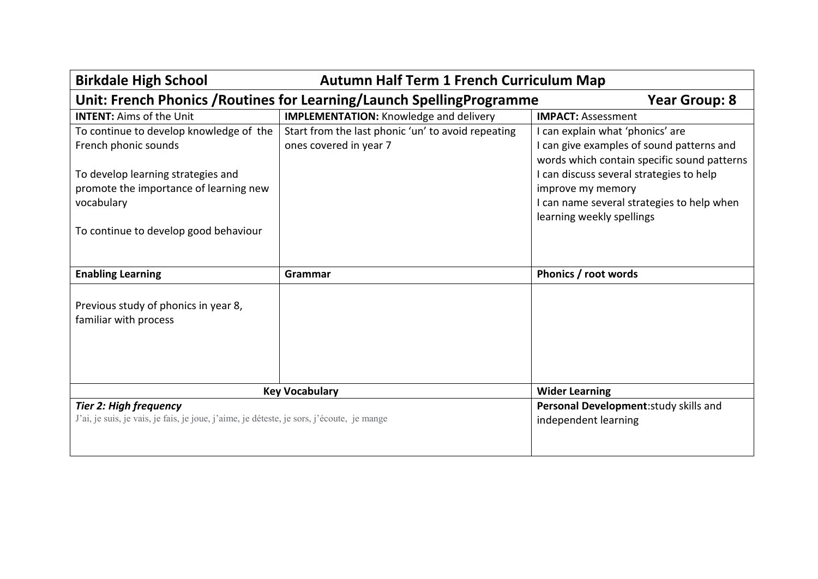| <b>Autumn Half Term 1 French Curriculum Map</b><br><b>Birkdale High School</b>                                                                                                                         |                                                                              |                                                                                                                                                                                                                                                                          |
|--------------------------------------------------------------------------------------------------------------------------------------------------------------------------------------------------------|------------------------------------------------------------------------------|--------------------------------------------------------------------------------------------------------------------------------------------------------------------------------------------------------------------------------------------------------------------------|
| Unit: French Phonics / Routines for Learning/Launch Spelling Programme<br><b>Year Group: 8</b>                                                                                                         |                                                                              |                                                                                                                                                                                                                                                                          |
| <b>INTENT: Aims of the Unit</b>                                                                                                                                                                        | <b>IMPLEMENTATION:</b> Knowledge and delivery                                | <b>IMPACT: Assessment</b>                                                                                                                                                                                                                                                |
| To continue to develop knowledge of the<br>French phonic sounds<br>To develop learning strategies and<br>promote the importance of learning new<br>vocabulary<br>To continue to develop good behaviour | Start from the last phonic 'un' to avoid repeating<br>ones covered in year 7 | I can explain what 'phonics' are<br>I can give examples of sound patterns and<br>words which contain specific sound patterns<br>I can discuss several strategies to help<br>improve my memory<br>I can name several strategies to help when<br>learning weekly spellings |
| <b>Enabling Learning</b>                                                                                                                                                                               | Grammar                                                                      | Phonics / root words                                                                                                                                                                                                                                                     |
| Previous study of phonics in year 8,<br>familiar with process                                                                                                                                          |                                                                              |                                                                                                                                                                                                                                                                          |
|                                                                                                                                                                                                        | <b>Key Vocabulary</b>                                                        | <b>Wider Learning</b>                                                                                                                                                                                                                                                    |
| <b>Tier 2: High frequency</b><br>J'ai, je suis, je vais, je fais, je joue, j'aime, je déteste, je sors, j'écoute, je mange                                                                             |                                                                              | Personal Development: study skills and<br>independent learning                                                                                                                                                                                                           |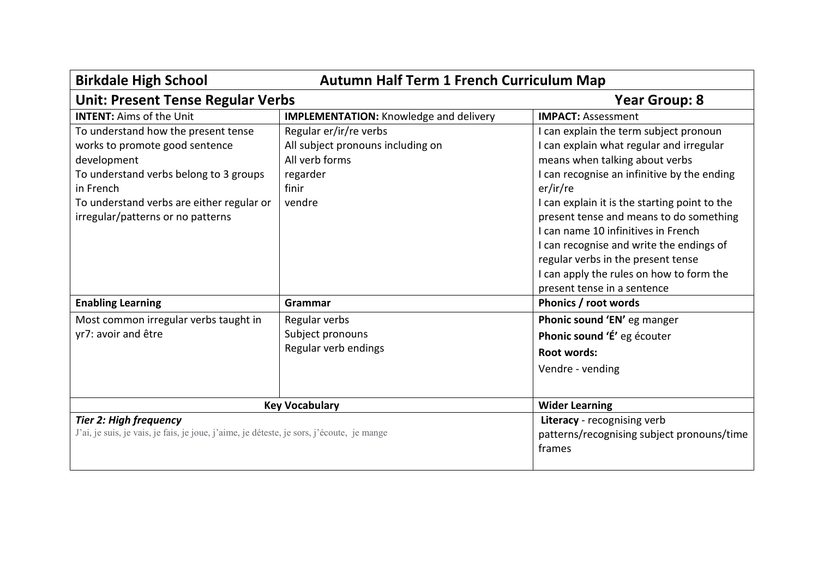| <b>Birkdale High School</b><br><b>Autumn Half Term 1 French Curriculum Map</b>                                                                                                                                                |                                                                                                              |                                                                                                                                                                                                                                                                                                                                                                                                                                                                                 |
|-------------------------------------------------------------------------------------------------------------------------------------------------------------------------------------------------------------------------------|--------------------------------------------------------------------------------------------------------------|---------------------------------------------------------------------------------------------------------------------------------------------------------------------------------------------------------------------------------------------------------------------------------------------------------------------------------------------------------------------------------------------------------------------------------------------------------------------------------|
| <b>Unit: Present Tense Regular Verbs</b>                                                                                                                                                                                      |                                                                                                              | <b>Year Group: 8</b>                                                                                                                                                                                                                                                                                                                                                                                                                                                            |
| <b>INTENT: Aims of the Unit</b>                                                                                                                                                                                               | <b>IMPLEMENTATION:</b> Knowledge and delivery                                                                | <b>IMPACT: Assessment</b>                                                                                                                                                                                                                                                                                                                                                                                                                                                       |
| To understand how the present tense<br>works to promote good sentence<br>development<br>To understand verbs belong to 3 groups<br>in French<br>To understand verbs are either regular or<br>irregular/patterns or no patterns | Regular er/ir/re verbs<br>All subject pronouns including on<br>All verb forms<br>regarder<br>finir<br>vendre | I can explain the term subject pronoun<br>I can explain what regular and irregular<br>means when talking about verbs<br>I can recognise an infinitive by the ending<br>er/ir/re<br>I can explain it is the starting point to the<br>present tense and means to do something<br>I can name 10 infinitives in French<br>I can recognise and write the endings of<br>regular verbs in the present tense<br>I can apply the rules on how to form the<br>present tense in a sentence |
| <b>Enabling Learning</b>                                                                                                                                                                                                      | Grammar                                                                                                      | Phonics / root words                                                                                                                                                                                                                                                                                                                                                                                                                                                            |
| Most common irregular verbs taught in<br>yr7: avoir and être                                                                                                                                                                  | Regular verbs<br>Subject pronouns<br>Regular verb endings                                                    | Phonic sound 'EN' eg manger<br>Phonic sound 'É' eg écouter<br><b>Root words:</b><br>Vendre - vending                                                                                                                                                                                                                                                                                                                                                                            |
|                                                                                                                                                                                                                               | <b>Key Vocabulary</b>                                                                                        | <b>Wider Learning</b>                                                                                                                                                                                                                                                                                                                                                                                                                                                           |
| <b>Tier 2: High frequency</b><br>J'ai, je suis, je vais, je fais, je joue, j'aime, je déteste, je sors, j'écoute, je mange                                                                                                    |                                                                                                              | Literacy - recognising verb<br>patterns/recognising subject pronouns/time<br>frames                                                                                                                                                                                                                                                                                                                                                                                             |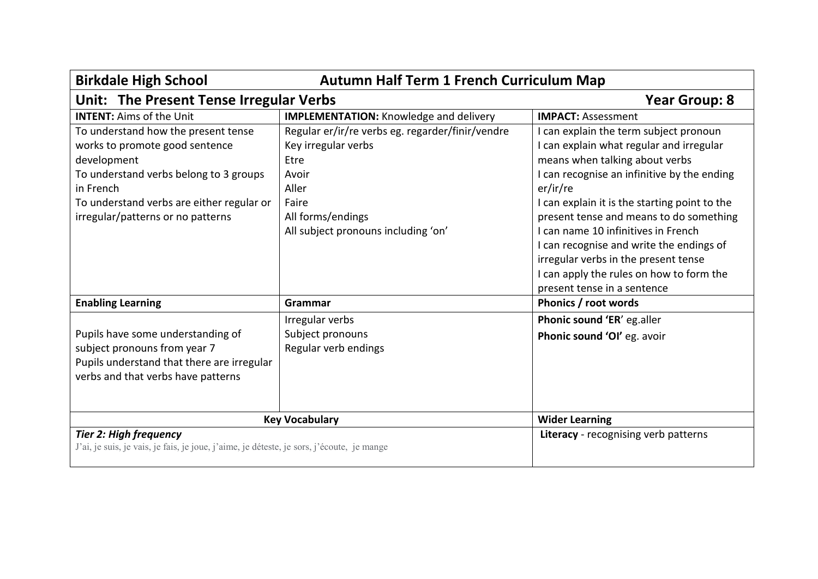| <b>Birkdale High School</b><br><b>Autumn Half Term 1 French Curriculum Map</b>                                                                                                                                                |                                                                                                                                                                        |                                                                                                                                                                                                                                                                                                                                                                                                                                                                                   |
|-------------------------------------------------------------------------------------------------------------------------------------------------------------------------------------------------------------------------------|------------------------------------------------------------------------------------------------------------------------------------------------------------------------|-----------------------------------------------------------------------------------------------------------------------------------------------------------------------------------------------------------------------------------------------------------------------------------------------------------------------------------------------------------------------------------------------------------------------------------------------------------------------------------|
| Unit: The Present Tense Irregular Verbs<br><b>Year Group: 8</b>                                                                                                                                                               |                                                                                                                                                                        |                                                                                                                                                                                                                                                                                                                                                                                                                                                                                   |
| <b>INTENT: Aims of the Unit</b>                                                                                                                                                                                               | <b>IMPLEMENTATION: Knowledge and delivery</b>                                                                                                                          | <b>IMPACT: Assessment</b>                                                                                                                                                                                                                                                                                                                                                                                                                                                         |
| To understand how the present tense<br>works to promote good sentence<br>development<br>To understand verbs belong to 3 groups<br>in French<br>To understand verbs are either regular or<br>irregular/patterns or no patterns | Regular er/ir/re verbs eg. regarder/finir/vendre<br>Key irregular verbs<br>Etre<br>Avoir<br>Aller<br>Faire<br>All forms/endings<br>All subject pronouns including 'on' | I can explain the term subject pronoun<br>I can explain what regular and irregular<br>means when talking about verbs<br>I can recognise an infinitive by the ending<br>er/ir/re<br>I can explain it is the starting point to the<br>present tense and means to do something<br>I can name 10 infinitives in French<br>I can recognise and write the endings of<br>irregular verbs in the present tense<br>I can apply the rules on how to form the<br>present tense in a sentence |
| <b>Enabling Learning</b>                                                                                                                                                                                                      | Grammar                                                                                                                                                                | Phonics / root words                                                                                                                                                                                                                                                                                                                                                                                                                                                              |
| Pupils have some understanding of<br>subject pronouns from year 7<br>Pupils understand that there are irregular<br>verbs and that verbs have patterns                                                                         | Irregular verbs<br>Subject pronouns<br>Regular verb endings                                                                                                            | Phonic sound 'ER' eg.aller<br>Phonic sound 'OI' eg. avoir                                                                                                                                                                                                                                                                                                                                                                                                                         |
|                                                                                                                                                                                                                               | <b>Key Vocabulary</b>                                                                                                                                                  | <b>Wider Learning</b>                                                                                                                                                                                                                                                                                                                                                                                                                                                             |
| <b>Tier 2: High frequency</b><br>J'ai, je suis, je vais, je fais, je joue, j'aime, je déteste, je sors, j'écoute, je mange                                                                                                    |                                                                                                                                                                        | Literacy - recognising verb patterns                                                                                                                                                                                                                                                                                                                                                                                                                                              |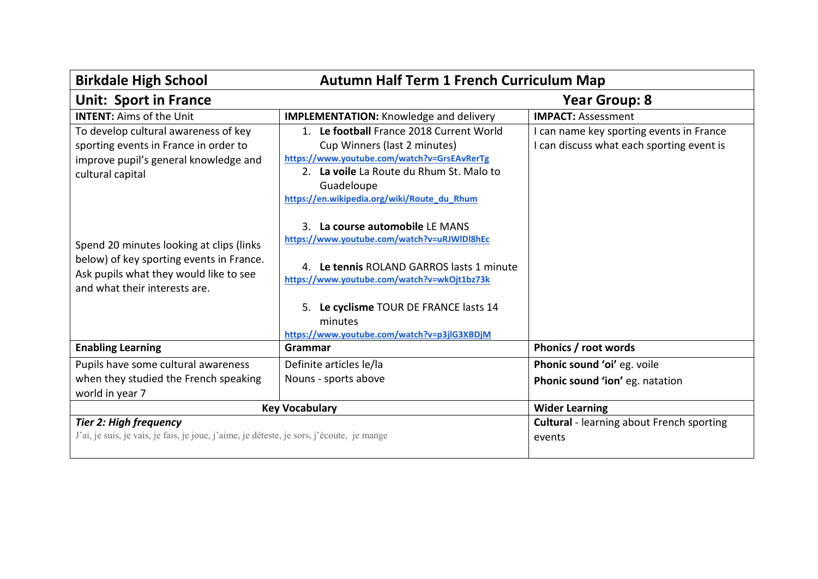| <b>Birkdale High School</b><br><b>Autumn Half Term 1 French Curriculum Map</b>                                                                                  |                                                                                                                                                                                                                                                                                |                                                                                       |
|-----------------------------------------------------------------------------------------------------------------------------------------------------------------|--------------------------------------------------------------------------------------------------------------------------------------------------------------------------------------------------------------------------------------------------------------------------------|---------------------------------------------------------------------------------------|
| <b>Unit: Sport in France</b><br><b>Year Group: 8</b>                                                                                                            |                                                                                                                                                                                                                                                                                |                                                                                       |
| <b>INTENT: Aims of the Unit</b>                                                                                                                                 | <b>IMPLEMENTATION:</b> Knowledge and delivery                                                                                                                                                                                                                                  | <b>IMPACT: Assessment</b>                                                             |
| To develop cultural awareness of key<br>sporting events in France in order to<br>improve pupil's general knowledge and<br>cultural capital                      | 1. Le football France 2018 Current World<br>Cup Winners (last 2 minutes)<br>https://www.youtube.com/watch?v=GrsEAvRerTg<br>2. La voile La Route du Rhum St. Malo to<br>Guadeloupe<br>https://en.wikipedia.org/wiki/Route_du_Rhum                                               | I can name key sporting events in France<br>I can discuss what each sporting event is |
| Spend 20 minutes looking at clips (links<br>below) of key sporting events in France.<br>Ask pupils what they would like to see<br>and what their interests are. | 3. La course automobile LE MANS<br>https://www.youtube.com/watch?v=uRJWIDI8hEc<br>4. Le tennis ROLAND GARROS lasts 1 minute<br>https://www.youtube.com/watch?v=wkOjt1bz73k<br>5. Le cyclisme TOUR DE FRANCE lasts 14<br>minutes<br>https://www.youtube.com/watch?v=p3jlG3XBDjM |                                                                                       |
| <b>Enabling Learning</b>                                                                                                                                        | Grammar                                                                                                                                                                                                                                                                        | Phonics / root words                                                                  |
| Pupils have some cultural awareness                                                                                                                             | Definite articles le/la                                                                                                                                                                                                                                                        | Phonic sound 'oi' eg. voile                                                           |
| when they studied the French speaking<br>world in year 7                                                                                                        | Nouns - sports above                                                                                                                                                                                                                                                           | Phonic sound 'ion' eg. natation                                                       |
|                                                                                                                                                                 | <b>Key Vocabulary</b>                                                                                                                                                                                                                                                          | <b>Wider Learning</b>                                                                 |
| <b>Tier 2: High frequency</b><br>J'ai, je suis, je vais, je fais, je joue, j'aime, je déteste, je sors, j'écoute, je mange                                      |                                                                                                                                                                                                                                                                                | <b>Cultural</b> - learning about French sporting<br>events                            |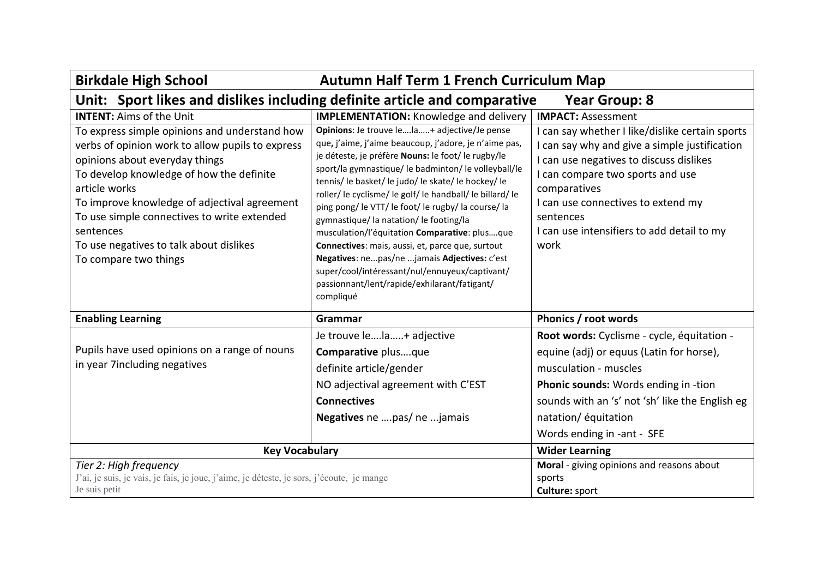| <b>Birkdale High School</b>                                                                                                                                                                                                                                                                                                                                                      | <b>Autumn Half Term 1 French Curriculum Map</b>                                                                                                                                                                                                                                                                                                                                                                                                                                                                                                                                                                                                                                                  |                                                                                                                                                                                                                                                                                                        |
|----------------------------------------------------------------------------------------------------------------------------------------------------------------------------------------------------------------------------------------------------------------------------------------------------------------------------------------------------------------------------------|--------------------------------------------------------------------------------------------------------------------------------------------------------------------------------------------------------------------------------------------------------------------------------------------------------------------------------------------------------------------------------------------------------------------------------------------------------------------------------------------------------------------------------------------------------------------------------------------------------------------------------------------------------------------------------------------------|--------------------------------------------------------------------------------------------------------------------------------------------------------------------------------------------------------------------------------------------------------------------------------------------------------|
| Unit: Sport likes and dislikes including definite article and comparative<br><b>Year Group: 8</b>                                                                                                                                                                                                                                                                                |                                                                                                                                                                                                                                                                                                                                                                                                                                                                                                                                                                                                                                                                                                  |                                                                                                                                                                                                                                                                                                        |
| <b>INTENT:</b> Aims of the Unit                                                                                                                                                                                                                                                                                                                                                  | <b>IMPLEMENTATION:</b> Knowledge and delivery                                                                                                                                                                                                                                                                                                                                                                                                                                                                                                                                                                                                                                                    | <b>IMPACT: Assessment</b>                                                                                                                                                                                                                                                                              |
| To express simple opinions and understand how<br>verbs of opinion work to allow pupils to express<br>opinions about everyday things<br>To develop knowledge of how the definite<br>article works<br>To improve knowledge of adjectival agreement<br>To use simple connectives to write extended<br>sentences<br>To use negatives to talk about dislikes<br>To compare two things | Opinions: Je trouve lela+ adjective/Je pense<br>que, j'aime, j'aime beaucoup, j'adore, je n'aime pas,<br>je déteste, je préfère Nouns: le foot/le rugby/le<br>sport/la gymnastique/ le badminton/ le volleyball/le<br>tennis/ le basket/ le judo/ le skate/ le hockey/ le<br>roller/le cyclisme/le golf/le handball/le billard/le<br>ping pong/le VTT/le foot/le rugby/la course/la<br>gymnastique/la natation/le footing/la<br>musculation/l'équitation Comparative: plusque<br>Connectives: mais, aussi, et, parce que, surtout<br>Negatives: nepas/ne jamais Adjectives: c'est<br>super/cool/intéressant/nul/ennuyeux/captivant/<br>passionnant/lent/rapide/exhilarant/fatigant/<br>compliqué | I can say whether I like/dislike certain sports<br>can say why and give a simple justification<br>I can use negatives to discuss dislikes<br>I can compare two sports and use<br>comparatives<br>I can use connectives to extend my<br>sentences<br>I can use intensifiers to add detail to my<br>work |
| <b>Enabling Learning</b>                                                                                                                                                                                                                                                                                                                                                         | Grammar                                                                                                                                                                                                                                                                                                                                                                                                                                                                                                                                                                                                                                                                                          | Phonics / root words                                                                                                                                                                                                                                                                                   |
| Pupils have used opinions on a range of nouns<br>in year 7including negatives                                                                                                                                                                                                                                                                                                    | Je trouve lela+ adjective<br>Comparative plusque<br>definite article/gender<br>NO adjectival agreement with C'EST<br><b>Connectives</b><br>Negatives ne pas/ ne jamais                                                                                                                                                                                                                                                                                                                                                                                                                                                                                                                           | Root words: Cyclisme - cycle, équitation -<br>equine (adj) or equus (Latin for horse),<br>musculation - muscles<br>Phonic sounds: Words ending in -tion<br>sounds with an 's' not 'sh' like the English eg<br>natation/ équitation<br>Words ending in -ant - SFE                                       |
| <b>Key Vocabulary</b>                                                                                                                                                                                                                                                                                                                                                            |                                                                                                                                                                                                                                                                                                                                                                                                                                                                                                                                                                                                                                                                                                  | <b>Wider Learning</b>                                                                                                                                                                                                                                                                                  |
| Tier 2: High frequency<br>J'ai, je suis, je vais, je fais, je joue, j'aime, je déteste, je sors, j'écoute, je mange<br>Je suis petit                                                                                                                                                                                                                                             |                                                                                                                                                                                                                                                                                                                                                                                                                                                                                                                                                                                                                                                                                                  | Moral - giving opinions and reasons about<br>sports<br>Culture: sport                                                                                                                                                                                                                                  |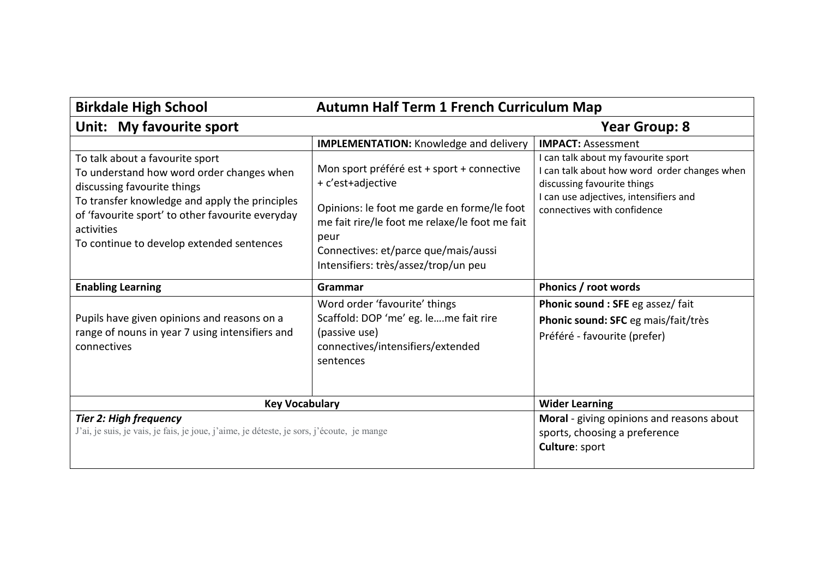| <b>Birkdale High School</b>                                                                                                                                                                                                                                                  | <b>Autumn Half Term 1 French Curriculum Map</b>                                                                                                                                                                                                                                                           |                                                                                                                                                                                                                          |
|------------------------------------------------------------------------------------------------------------------------------------------------------------------------------------------------------------------------------------------------------------------------------|-----------------------------------------------------------------------------------------------------------------------------------------------------------------------------------------------------------------------------------------------------------------------------------------------------------|--------------------------------------------------------------------------------------------------------------------------------------------------------------------------------------------------------------------------|
| Unit: My favourite sport<br><b>Year Group: 8</b>                                                                                                                                                                                                                             |                                                                                                                                                                                                                                                                                                           |                                                                                                                                                                                                                          |
| To talk about a favourite sport<br>To understand how word order changes when<br>discussing favourite things<br>To transfer knowledge and apply the principles<br>of 'favourite sport' to other favourite everyday<br>activities<br>To continue to develop extended sentences | <b>IMPLEMENTATION:</b> Knowledge and delivery<br>Mon sport préféré est + sport + connective<br>+ c'est+adjective<br>Opinions: le foot me garde en forme/le foot<br>me fait rire/le foot me relaxe/le foot me fait<br>peur<br>Connectives: et/parce que/mais/aussi<br>Intensifiers: très/assez/trop/un peu | <b>IMPACT: Assessment</b><br>I can talk about my favourite sport<br>I can talk about how word order changes when<br>discussing favourite things<br>I can use adjectives, intensifiers and<br>connectives with confidence |
| <b>Enabling Learning</b>                                                                                                                                                                                                                                                     | Grammar                                                                                                                                                                                                                                                                                                   | Phonics / root words                                                                                                                                                                                                     |
| Pupils have given opinions and reasons on a<br>range of nouns in year 7 using intensifiers and<br>connectives                                                                                                                                                                | Word order 'favourite' things<br>Scaffold: DOP 'me' eg. leme fait rire<br>(passive use)<br>connectives/intensifiers/extended<br>sentences                                                                                                                                                                 | Phonic sound : SFE eg assez/ fait<br>Phonic sound: SFC eg mais/fait/très<br>Préféré - favourite (prefer)                                                                                                                 |
| <b>Key Vocabulary</b>                                                                                                                                                                                                                                                        |                                                                                                                                                                                                                                                                                                           | <b>Wider Learning</b>                                                                                                                                                                                                    |
| <b>Tier 2: High frequency</b><br>J'ai, je suis, je vais, je fais, je joue, j'aime, je déteste, je sors, j'écoute, je mange                                                                                                                                                   |                                                                                                                                                                                                                                                                                                           | Moral - giving opinions and reasons about<br>sports, choosing a preference<br>Culture: sport                                                                                                                             |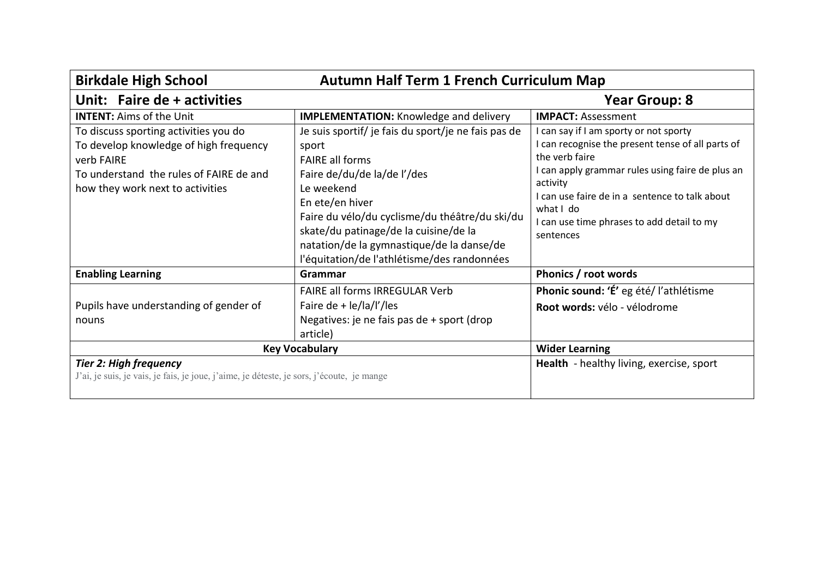| <b>Birkdale High School</b><br><b>Autumn Half Term 1 French Curriculum Map</b>                                                                                               |                                                                                                                                                                                                                                                                                                                                               |                                                                                                                                                                                                                                                                                                         |
|------------------------------------------------------------------------------------------------------------------------------------------------------------------------------|-----------------------------------------------------------------------------------------------------------------------------------------------------------------------------------------------------------------------------------------------------------------------------------------------------------------------------------------------|---------------------------------------------------------------------------------------------------------------------------------------------------------------------------------------------------------------------------------------------------------------------------------------------------------|
| Unit: Faire de + activities                                                                                                                                                  |                                                                                                                                                                                                                                                                                                                                               | Year Group: 8                                                                                                                                                                                                                                                                                           |
| <b>INTENT:</b> Aims of the Unit                                                                                                                                              | <b>IMPLEMENTATION:</b> Knowledge and delivery                                                                                                                                                                                                                                                                                                 | <b>IMPACT: Assessment</b>                                                                                                                                                                                                                                                                               |
| To discuss sporting activities you do<br>To develop knowledge of high frequency<br>verb FAIRE<br>To understand the rules of FAIRE de and<br>how they work next to activities | Je suis sportif/ je fais du sport/je ne fais pas de<br>sport<br><b>FAIRE all forms</b><br>Faire de/du/de la/de l'/des<br>Le weekend<br>En ete/en hiver<br>Faire du vélo/du cyclisme/du théâtre/du ski/du<br>skate/du patinage/de la cuisine/de la<br>natation/de la gymnastique/de la danse/de<br>l'équitation/de l'athlétisme/des randonnées | I can say if I am sporty or not sporty<br>I can recognise the present tense of all parts of<br>the verb faire<br>I can apply grammar rules using faire de plus an<br>activity<br>I can use faire de in a sentence to talk about<br>what I do<br>I can use time phrases to add detail to my<br>sentences |
| <b>Enabling Learning</b>                                                                                                                                                     | Grammar                                                                                                                                                                                                                                                                                                                                       | Phonics / root words                                                                                                                                                                                                                                                                                    |
| Pupils have understanding of gender of<br>nouns                                                                                                                              | <b>FAIRE all forms IRREGULAR Verb</b><br>Faire de + $\frac{1}{2}$   a/l'/les<br>Negatives: je ne fais pas de + sport (drop<br>article)                                                                                                                                                                                                        | Phonic sound: 'É' eg été/ l'athlétisme<br>Root words: vélo - vélodrome                                                                                                                                                                                                                                  |
| <b>Key Vocabulary</b>                                                                                                                                                        |                                                                                                                                                                                                                                                                                                                                               | <b>Wider Learning</b>                                                                                                                                                                                                                                                                                   |
| <b>Tier 2: High frequency</b><br>J'ai, je suis, je vais, je fais, je joue, j'aime, je déteste, je sors, j'écoute, je mange                                                   |                                                                                                                                                                                                                                                                                                                                               | Health - healthy living, exercise, sport                                                                                                                                                                                                                                                                |